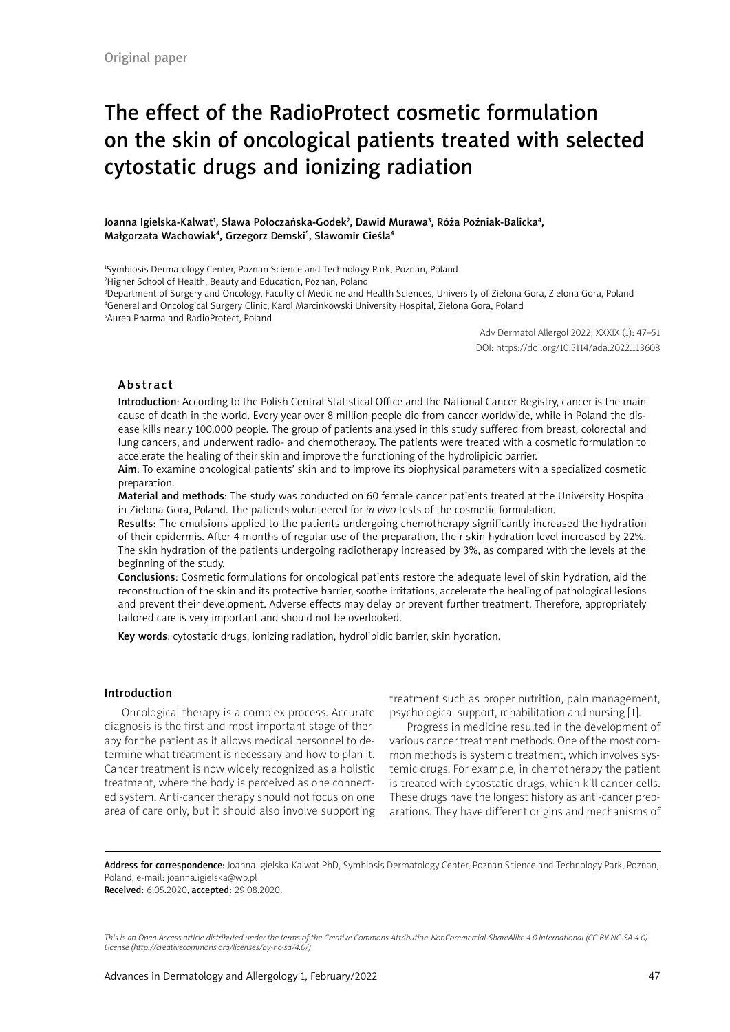# The effect of the RadioProtect cosmetic formulation on the skin of oncological patients treated with selected cytostatic drugs and ionizing radiation

Joanna Igielska-Kalwat<sup>1</sup>, Sława Połoczańska-Godek<sup>2</sup>, Dawid Murawa<sup>3</sup>, Róża Poźniak-Balicka<sup>4</sup>, Małgorzata Wachowiak<sup>4</sup>, Grzegorz Demski<sup>5</sup>, Sławomir Cieśla<sup>4</sup>

1 Symbiosis Dermatology Center, Poznan Science and Technology Park, Poznan, Poland

2 Higher School of Health, Beauty and Education, Poznan, Poland

3 Department of Surgery and Oncology, Faculty of Medicine and Health Sciences, University of Zielona Gora, Zielona Gora, Poland 4 General and Oncological Surgery Clinic, Karol Marcinkowski University Hospital, Zielona Gora, Poland

5 Aurea Pharma and RadioProtect, Poland

Adv Dermatol Allergol 2022; XXXIX (1): 47–51 DOI: https://doi.org/10.5114/ada.2022.113608

#### Abstract

Introduction: According to the Polish Central Statistical Office and the National Cancer Registry, cancer is the main cause of death in the world. Every year over 8 million people die from cancer worldwide, while in Poland the disease kills nearly 100,000 people. The group of patients analysed in this study suffered from breast, colorectal and lung cancers, and underwent radio- and chemotherapy. The patients were treated with a cosmetic formulation to accelerate the healing of their skin and improve the functioning of the hydrolipidic barrier.

Aim: To examine oncological patients' skin and to improve its biophysical parameters with a specialized cosmetic preparation.

Material and methods: The study was conducted on 60 female cancer patients treated at the University Hospital in Zielona Gora, Poland. The patients volunteered for *in vivo* tests of the cosmetic formulation.

Results: The emulsions applied to the patients undergoing chemotherapy significantly increased the hydration of their epidermis. After 4 months of regular use of the preparation, their skin hydration level increased by 22%. The skin hydration of the patients undergoing radiotherapy increased by 3%, as compared with the levels at the beginning of the study.

Conclusions: Cosmetic formulations for oncological patients restore the adequate level of skin hydration, aid the reconstruction of the skin and its protective barrier, soothe irritations, accelerate the healing of pathological lesions and prevent their development. Adverse effects may delay or prevent further treatment. Therefore, appropriately tailored care is very important and should not be overlooked.

Key words: cytostatic drugs, ionizing radiation, hydrolipidic barrier, skin hydration.

#### Introduction

Oncological therapy is a complex process. Accurate diagnosis is the first and most important stage of therapy for the patient as it allows medical personnel to determine what treatment is necessary and how to plan it. Cancer treatment is now widely recognized as a holistic treatment, where the body is perceived as one connected system. Anti-cancer therapy should not focus on one area of care only, but it should also involve supporting

treatment such as proper nutrition, pain management, psychological support, rehabilitation and nursing [1].

Progress in medicine resulted in the development of various cancer treatment methods. One of the most common methods is systemic treatment, which involves systemic drugs. For example, in chemotherapy the patient is treated with cytostatic drugs, which kill cancer cells. These drugs have the longest history as anti-cancer preparations. They have different origins and mechanisms of

Address for correspondence: Joanna Igielska-Kalwat PhD, Symbiosis Dermatology Center, Poznan Science and Technology Park, Poznan, Poland, e-mail: joanna.igielska@wp.pl Received: 6.05.2020, accepted: 29.08.2020.

*This is an Open Access article distributed under the terms of the Creative Commons Attribution-NonCommercial-ShareAlike 4.0 International (CC BY-NC-SA 4.0). License (http://creativecommons.org/licenses/by-nc-sa/4.0/)*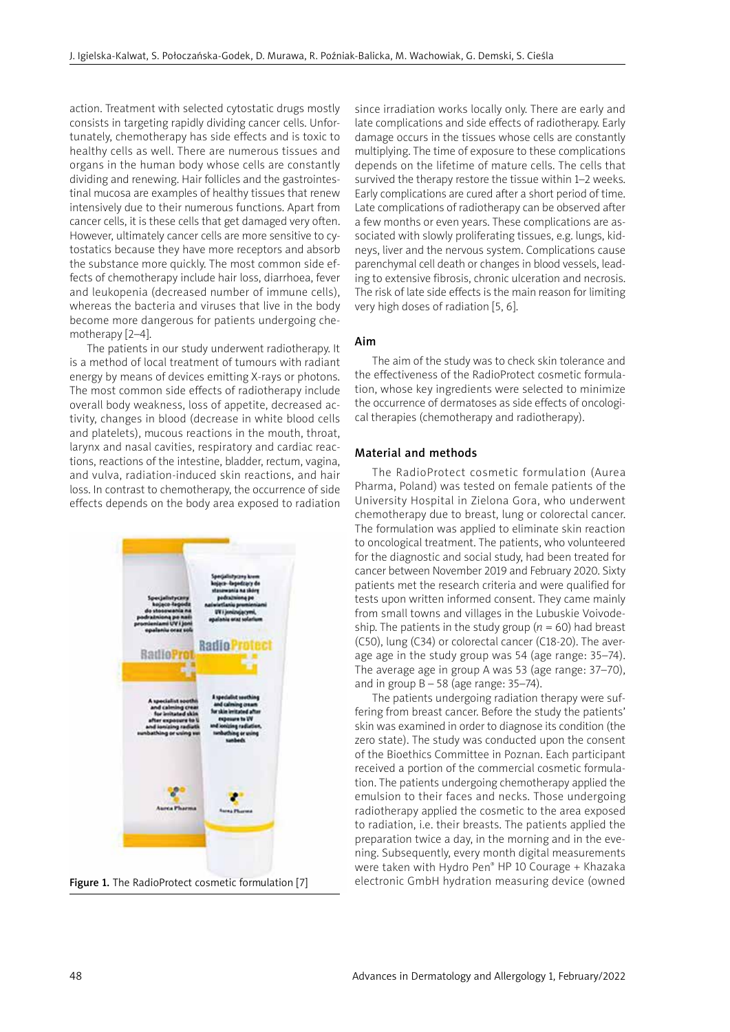action. Treatment with selected cytostatic drugs mostly consists in targeting rapidly dividing cancer cells. Unfortunately, chemotherapy has side effects and is toxic to healthy cells as well. There are numerous tissues and organs in the human body whose cells are constantly dividing and renewing. Hair follicles and the gastrointestinal mucosa are examples of healthy tissues that renew intensively due to their numerous functions. Apart from cancer cells, it is these cells that get damaged very often. However, ultimately cancer cells are more sensitive to cytostatics because they have more receptors and absorb the substance more quickly. The most common side effects of chemotherapy include hair loss, diarrhoea, fever and leukopenia (decreased number of immune cells), whereas the bacteria and viruses that live in the body become more dangerous for patients undergoing chemotherapy [2–4].

The patients in our study underwent radiotherapy. It is a method of local treatment of tumours with radiant energy by means of devices emitting X-rays or photons. The most common side effects of radiotherapy include overall body weakness, loss of appetite, decreased activity, changes in blood (decrease in white blood cells and platelets), mucous reactions in the mouth, throat, larynx and nasal cavities, respiratory and cardiac reactions, reactions of the intestine, bladder, rectum, vagina, and vulva, radiation-induced skin reactions, and hair loss. In contrast to chemotherapy, the occurrence of side effects depends on the body area exposed to radiation



since irradiation works locally only. There are early and late complications and side effects of radiotherapy. Early damage occurs in the tissues whose cells are constantly multiplying. The time of exposure to these complications depends on the lifetime of mature cells. The cells that survived the therapy restore the tissue within 1–2 weeks. Early complications are cured after a short period of time. Late complications of radiotherapy can be observed after a few months or even years. These complications are associated with slowly proliferating tissues, e.g. lungs, kidneys, liver and the nervous system. Complications cause parenchymal cell death or changes in blood vessels, leading to extensive fibrosis, chronic ulceration and necrosis. The risk of late side effects is the main reason for limiting very high doses of radiation [5, 6].

## Aim

The aim of the study was to check skin tolerance and the effectiveness of the RadioProtect cosmetic formulation, whose key ingredients were selected to minimize the occurrence of dermatoses as side effects of oncological therapies (chemotherapy and radiotherapy).

## Material and methods

The RadioProtect cosmetic formulation (Aurea Pharma, Poland) was tested on female patients of the University Hospital in Zielona Gora, who underwent chemotherapy due to breast, lung or colorectal cancer. The formulation was applied to eliminate skin reaction to oncological treatment. The patients, who volunteered for the diagnostic and social study, had been treated for cancer between November 2019 and February 2020. Sixty patients met the research criteria and were qualified for tests upon written informed consent. They came mainly from small towns and villages in the Lubuskie Voivodeship. The patients in the study group ( $n = 60$ ) had breast (C50), lung (C34) or colorectal cancer (C18-20). The average age in the study group was 54 (age range: 35–74). The average age in group A was 53 (age range: 37–70), and in group  $B - 58$  (age range: 35–74).

The patients undergoing radiation therapy were suffering from breast cancer. Before the study the patients' skin was examined in order to diagnose its condition (the zero state). The study was conducted upon the consent of the Bioethics Committee in Poznan. Each participant received a portion of the commercial cosmetic formulation. The patients undergoing chemotherapy applied the emulsion to their faces and necks. Those undergoing radiotherapy applied the cosmetic to the area exposed to radiation, i.e. their breasts. The patients applied the preparation twice a day, in the morning and in the evening. Subsequently, every month digital measurements were taken with Hydro Pen® HP 10 Courage + Khazaka Figure 1. The RadioProtect cosmetic formulation [7] electronic GmbH hydration measuring device (owned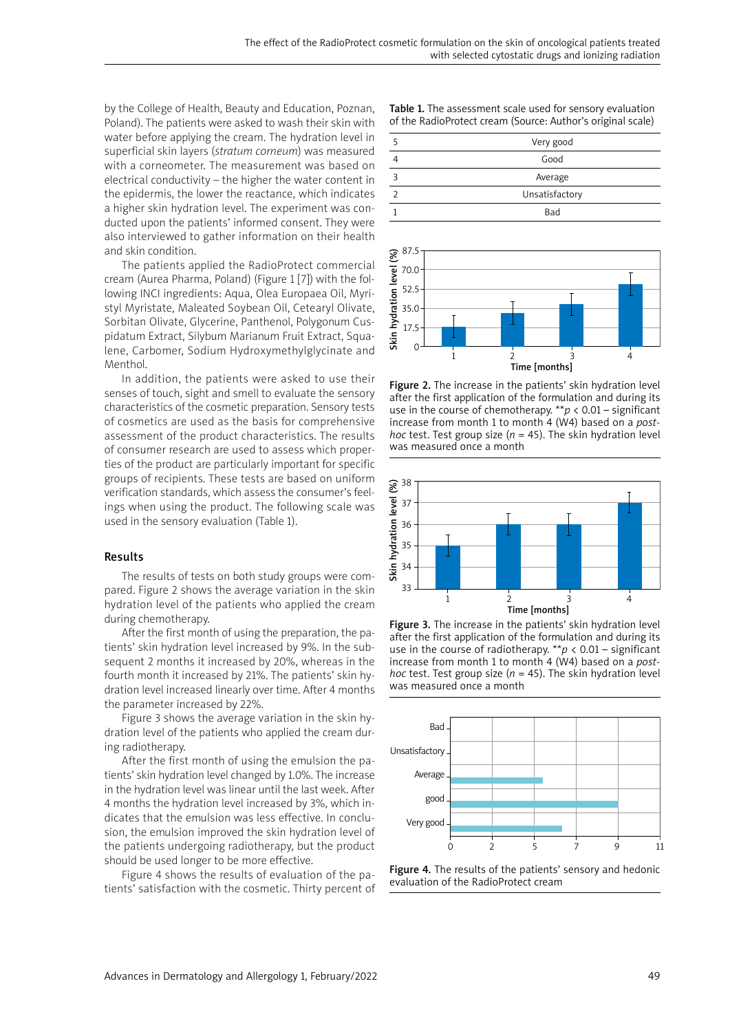by the College of Health, Beauty and Education, Poznan, Poland). The patients were asked to wash their skin with water before applying the cream. The hydration level in superficial skin layers (*stratum corneum*) was measured with a corneometer. The measurement was based on electrical conductivity – the higher the water content in the epidermis, the lower the reactance, which indicates a higher skin hydration level. The experiment was conducted upon the patients' informed consent. They were also interviewed to gather information on their health and skin condition.

The patients applied the RadioProtect commercial cream (Aurea Pharma, Poland) (Figure 1 [7]) with the following INCI ingredients: Aqua, Olea Europaea Oil, Myristyl Myristate, Maleated Soybean Oil, Cetearyl Olivate, Sorbitan Olivate, Glycerine, Panthenol, Polygonum Cuspidatum Extract, Silybum Marianum Fruit Extract, Squalene, Carbomer, Sodium Hydroxymethylglycinate and Menthol.

In addition, the patients were asked to use their senses of touch, sight and smell to evaluate the sensory characteristics of the cosmetic preparation. Sensory tests of cosmetics are used as the basis for comprehensive assessment of the product characteristics. The results of consumer research are used to assess which properties of the product are particularly important for specific groups of recipients. These tests are based on uniform verification standards, which assess the consumer's feelings when using the product. The following scale was used in the sensory evaluation (Table 1).

#### Results

The results of tests on both study groups were compared. Figure 2 shows the average variation in the skin hydration level of the patients who applied the cream during chemotherapy.

After the first month of using the preparation, the patients' skin hydration level increased by 9%. In the subsequent 2 months it increased by 20%, whereas in the fourth month it increased by 21%. The patients' skin hydration level increased linearly over time. After 4 months the parameter increased by 22%.

Figure 3 shows the average variation in the skin hydration level of the patients who applied the cream during radiotherapy.

After the first month of using the emulsion the patients' skin hydration level changed by 1.0%. The increase in the hydration level was linear until the last week. After 4 months the hydration level increased by 3%, which indicates that the emulsion was less effective. In conclusion, the emulsion improved the skin hydration level of the patients undergoing radiotherapy, but the product should be used longer to be more effective.

Figure 4 shows the results of evaluation of the patients' satisfaction with the cosmetic. Thirty percent of Table 1. The assessment scale used for sensory evaluation of the RadioProtect cream (Source: Author's original scale)





Figure 2. The increase in the patients' skin hydration level after the first application of the formulation and during its use in the course of chemotherapy.  $*p < 0.01$  – significant increase from month 1 to month 4 (W4) based on a *posthoc* test. Test group size ( $n = 45$ ). The skin hydration level was measured once a month



Figure 3. The increase in the patients' skin hydration level after the first application of the formulation and during its use in the course of radiotherapy. \*\**p* < 0.01 – significant increase from month 1 to month 4 (W4) based on a *posthoc* test. Test group size ( $n = 45$ ). The skin hydration level was measured once a month



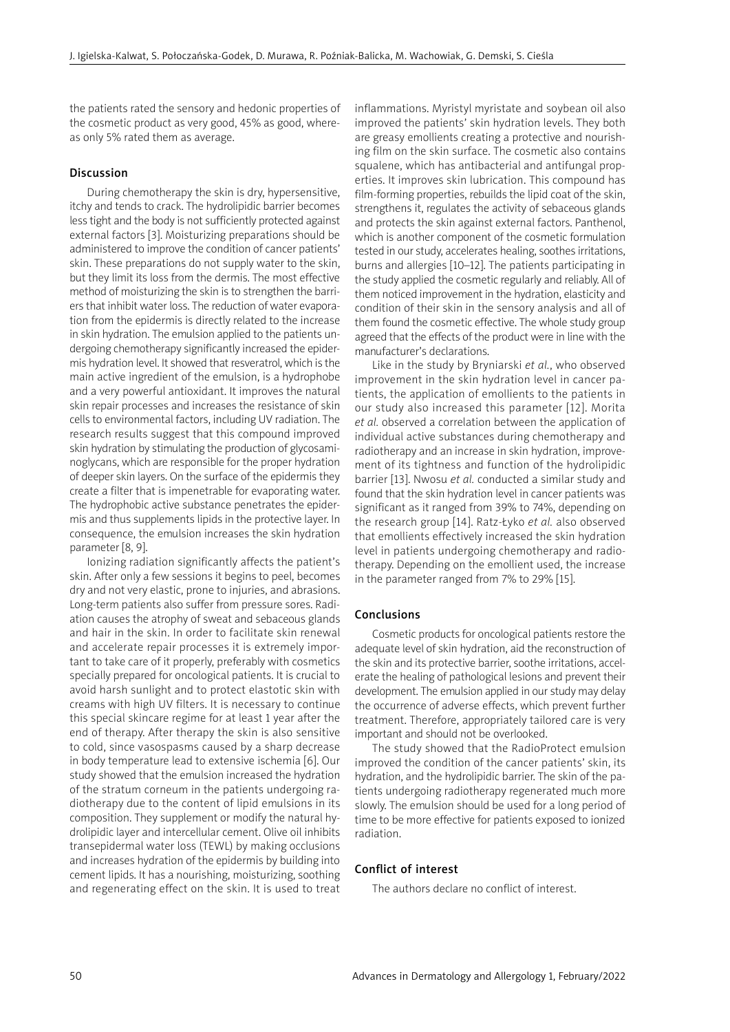the patients rated the sensory and hedonic properties of the cosmetic product as very good, 45% as good, whereas only 5% rated them as average.

### Discussion

During chemotherapy the skin is dry, hypersensitive, itchy and tends to crack. The hydrolipidic barrier becomes less tight and the body is not sufficiently protected against external factors [3]. Moisturizing preparations should be administered to improve the condition of cancer patients' skin. These preparations do not supply water to the skin, but they limit its loss from the dermis. The most effective method of moisturizing the skin is to strengthen the barriers that inhibit water loss. The reduction of water evaporation from the epidermis is directly related to the increase in skin hydration. The emulsion applied to the patients undergoing chemotherapy significantly increased the epidermis hydration level. It showed that resveratrol, which is the main active ingredient of the emulsion, is a hydrophobe and a very powerful antioxidant. It improves the natural skin repair processes and increases the resistance of skin cells to environmental factors, including UV radiation. The research results suggest that this compound improved skin hydration by stimulating the production of glycosaminoglycans, which are responsible for the proper hydration of deeper skin layers. On the surface of the epidermis they create a filter that is impenetrable for evaporating water. The hydrophobic active substance penetrates the epidermis and thus supplements lipids in the protective layer. In consequence, the emulsion increases the skin hydration parameter [8, 9].

Ionizing radiation significantly affects the patient's skin. After only a few sessions it begins to peel, becomes dry and not very elastic, prone to injuries, and abrasions. Long-term patients also suffer from pressure sores. Radiation causes the atrophy of sweat and sebaceous glands and hair in the skin. In order to facilitate skin renewal and accelerate repair processes it is extremely important to take care of it properly, preferably with cosmetics specially prepared for oncological patients. It is crucial to avoid harsh sunlight and to protect elastotic skin with creams with high UV filters. It is necessary to continue this special skincare regime for at least 1 year after the end of therapy. After therapy the skin is also sensitive to cold, since vasospasms caused by a sharp decrease in body temperature lead to extensive ischemia [6]. Our study showed that the emulsion increased the hydration of the stratum corneum in the patients undergoing radiotherapy due to the content of lipid emulsions in its composition. They supplement or modify the natural hydrolipidic layer and intercellular cement. Olive oil inhibits transepidermal water loss (TEWL) by making occlusions and increases hydration of the epidermis by building into cement lipids. It has a nourishing, moisturizing, soothing and regenerating effect on the skin. It is used to treat

inflammations. Myristyl myristate and soybean oil also improved the patients' skin hydration levels. They both are greasy emollients creating a protective and nourishing film on the skin surface. The cosmetic also contains squalene, which has antibacterial and antifungal properties. It improves skin lubrication. This compound has film-forming properties, rebuilds the lipid coat of the skin, strengthens it, regulates the activity of sebaceous glands and protects the skin against external factors. Panthenol, which is another component of the cosmetic formulation tested in our study, accelerates healing, soothes irritations, burns and allergies [10–12]. The patients participating in the study applied the cosmetic regularly and reliably. All of them noticed improvement in the hydration, elasticity and condition of their skin in the sensory analysis and all of them found the cosmetic effective. The whole study group agreed that the effects of the product were in line with the manufacturer's declarations.

Like in the study by Bryniarski *et al.*, who observed improvement in the skin hydration level in cancer patients, the application of emollients to the patients in our study also increased this parameter [12]. Morita *et al.* observed a correlation between the application of individual active substances during chemotherapy and radiotherapy and an increase in skin hydration, improvement of its tightness and function of the hydrolipidic barrier [13]. Nwosu *et al.* conducted a similar study and found that the skin hydration level in cancer patients was significant as it ranged from 39% to 74%, depending on the research group [14]. Ratz-Łyko *et al.* also observed that emollients effectively increased the skin hydration level in patients undergoing chemotherapy and radiotherapy. Depending on the emollient used, the increase in the parameter ranged from 7% to 29% [15].

#### Conclusions

Cosmetic products for oncological patients restore the adequate level of skin hydration, aid the reconstruction of the skin and its protective barrier, soothe irritations, accelerate the healing of pathological lesions and prevent their development. The emulsion applied in our study may delay the occurrence of adverse effects, which prevent further treatment. Therefore, appropriately tailored care is very important and should not be overlooked.

The study showed that the RadioProtect emulsion improved the condition of the cancer patients' skin, its hydration, and the hydrolipidic barrier. The skin of the patients undergoing radiotherapy regenerated much more slowly. The emulsion should be used for a long period of time to be more effective for patients exposed to ionized radiation.

#### Conflict of interest

The authors declare no conflict of interest.